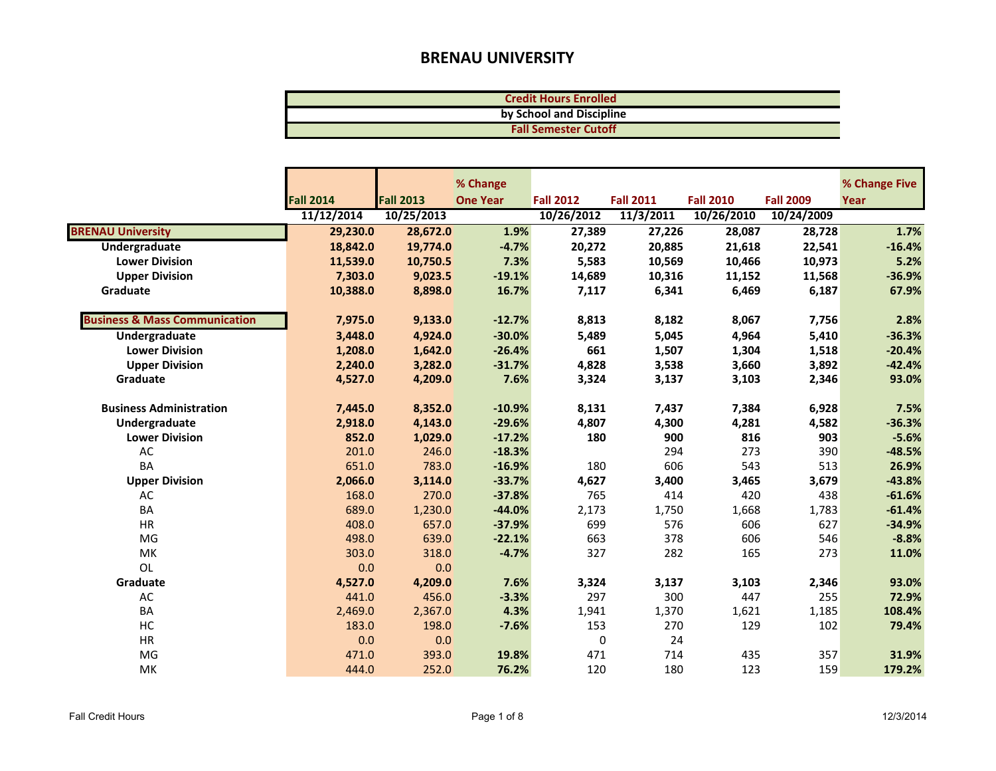| <b>Credit Hours Enrolled</b> |  |
|------------------------------|--|
| by School and Discipline     |  |
| <b>Fall Semester Cutoff</b>  |  |

|                                          |                  |                  | % Change        |                  |                  |                  |                  | % Change Five |
|------------------------------------------|------------------|------------------|-----------------|------------------|------------------|------------------|------------------|---------------|
|                                          | <b>Fall 2014</b> | <b>Fall 2013</b> | <b>One Year</b> | <b>Fall 2012</b> | <b>Fall 2011</b> | <b>Fall 2010</b> | <b>Fall 2009</b> | Year          |
|                                          | 11/12/2014       | 10/25/2013       |                 | 10/26/2012       | 11/3/2011        | 10/26/2010       | 10/24/2009       |               |
| <b>BRENAU University</b>                 | 29,230.0         | 28,672.0         | 1.9%            | 27,389           | 27,226           | 28,087           | 28,728           | 1.7%          |
| Undergraduate                            | 18,842.0         | 19,774.0         | $-4.7%$         | 20,272           | 20,885           | 21,618           | 22,541           | $-16.4%$      |
| <b>Lower Division</b>                    | 11,539.0         | 10,750.5         | 7.3%            | 5,583            | 10,569           | 10,466           | 10,973           | 5.2%          |
| <b>Upper Division</b>                    | 7,303.0          | 9,023.5          | $-19.1%$        | 14,689           | 10,316           | 11,152           | 11,568           | $-36.9%$      |
| Graduate                                 | 10,388.0         | 8,898.0          | 16.7%           | 7,117            | 6,341            | 6,469            | 6,187            | 67.9%         |
|                                          |                  |                  |                 |                  |                  |                  |                  |               |
| <b>Business &amp; Mass Communication</b> | 7,975.0          | 9,133.0          | $-12.7%$        | 8,813            | 8,182            | 8,067            | 7,756            | 2.8%          |
| <b>Undergraduate</b>                     | 3,448.0          | 4,924.0          | $-30.0%$        | 5,489            | 5,045            | 4,964            | 5,410            | $-36.3%$      |
| <b>Lower Division</b>                    | 1,208.0          | 1,642.0          | $-26.4%$        | 661              | 1,507            | 1,304            | 1,518            | $-20.4%$      |
| <b>Upper Division</b>                    | 2,240.0          | 3,282.0          | $-31.7%$        | 4,828            | 3,538            | 3,660            | 3,892            | $-42.4%$      |
| Graduate                                 | 4,527.0          | 4,209.0          | 7.6%            | 3,324            | 3,137            | 3,103            | 2,346            | 93.0%         |
|                                          |                  |                  |                 |                  |                  |                  |                  |               |
| <b>Business Administration</b>           | 7,445.0          | 8,352.0          | $-10.9%$        | 8,131            | 7,437            | 7,384            | 6,928            | 7.5%          |
| Undergraduate                            | 2,918.0          | 4,143.0          | $-29.6%$        | 4,807            | 4,300            | 4,281            | 4,582            | $-36.3%$      |
| <b>Lower Division</b>                    | 852.0            | 1,029.0          | $-17.2%$        | 180              | 900              | 816              | 903              | $-5.6%$       |
| AC                                       | 201.0            | 246.0            | $-18.3%$        |                  | 294              | 273              | 390              | $-48.5%$      |
| <b>BA</b>                                | 651.0            | 783.0            | $-16.9%$        | 180              | 606              | 543              | 513              | 26.9%         |
| <b>Upper Division</b>                    | 2,066.0          | 3,114.0          | $-33.7%$        | 4,627            | 3,400            | 3,465            | 3,679            | $-43.8%$      |
| AC                                       | 168.0            | 270.0            | $-37.8%$        | 765              | 414              | 420              | 438              | $-61.6%$      |
| BA                                       | 689.0            | 1,230.0          | $-44.0%$        | 2,173            | 1,750            | 1,668            | 1,783            | $-61.4%$      |
| <b>HR</b>                                | 408.0            | 657.0            | $-37.9%$        | 699              | 576              | 606              | 627              | $-34.9%$      |
| MG                                       | 498.0            | 639.0            | $-22.1%$        | 663              | 378              | 606              | 546              | $-8.8%$       |
| MK                                       | 303.0            | 318.0            | $-4.7%$         | 327              | 282              | 165              | 273              | 11.0%         |
| OL                                       | 0.0              | 0.0              |                 |                  |                  |                  |                  |               |
| Graduate                                 | 4,527.0          | 4,209.0          | 7.6%            | 3,324            | 3,137            | 3,103            | 2,346            | 93.0%         |
| AC                                       | 441.0            | 456.0            | $-3.3%$         | 297              | 300              | 447              | 255              | 72.9%         |
| <b>BA</b>                                | 2,469.0          | 2,367.0          | 4.3%            | 1,941            | 1,370            | 1,621            | 1,185            | 108.4%        |
| HC                                       | 183.0            | 198.0            | $-7.6%$         | 153              | 270              | 129              | 102              | 79.4%         |
| HR                                       | 0.0              | 0.0              |                 | 0                | 24               |                  |                  |               |
| MG                                       | 471.0            | 393.0            | 19.8%           | 471              | 714              | 435              | 357              | 31.9%         |
| <b>MK</b>                                | 444.0            | 252.0            | 76.2%           | 120              | 180              | 123              | 159              | 179.2%        |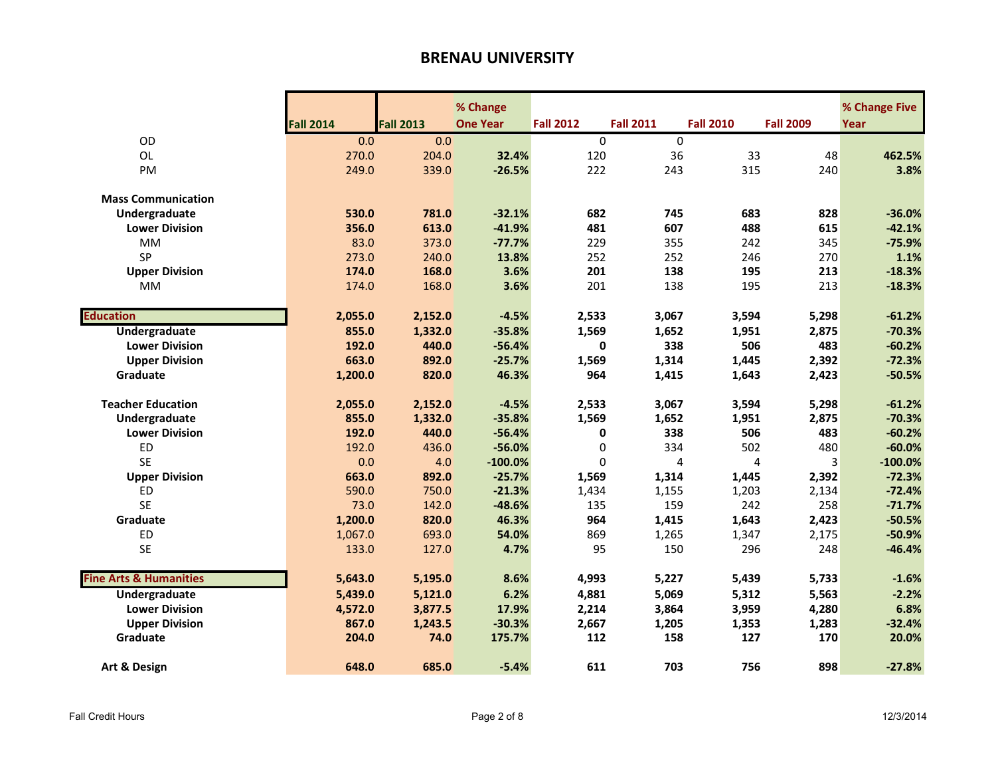|                                   |                  |                  | % Change        |                  |                  |                  |                  | % Change Five |
|-----------------------------------|------------------|------------------|-----------------|------------------|------------------|------------------|------------------|---------------|
|                                   | <b>Fall 2014</b> | <b>Fall 2013</b> | <b>One Year</b> | <b>Fall 2012</b> | <b>Fall 2011</b> | <b>Fall 2010</b> | <b>Fall 2009</b> | Year          |
| OD                                | 0.0              | 0.0              |                 | $\Omega$         | $\mathbf 0$      |                  |                  |               |
| <b>OL</b>                         | 270.0            | 204.0            | 32.4%           | 120              | 36               | 33               | 48               | 462.5%        |
| PM                                | 249.0            | 339.0            | $-26.5%$        | 222              | 243              | 315              | 240              | 3.8%          |
|                                   |                  |                  |                 |                  |                  |                  |                  |               |
| <b>Mass Communication</b>         |                  |                  |                 |                  |                  |                  |                  |               |
| Undergraduate                     | 530.0            | 781.0            | $-32.1%$        | 682              | 745              | 683              | 828              | $-36.0%$      |
| <b>Lower Division</b>             | 356.0            | 613.0            | $-41.9%$        | 481              | 607              | 488              | 615              | $-42.1%$      |
| <b>MM</b>                         | 83.0             | 373.0            | $-77.7%$        | 229              | 355              | 242              | 345              | $-75.9%$      |
| <b>SP</b>                         | 273.0            | 240.0            | 13.8%           | 252              | 252              | 246              | 270              | 1.1%          |
| <b>Upper Division</b>             | 174.0            | 168.0            | 3.6%            | 201              | 138              | 195              | 213              | $-18.3%$      |
| <b>MM</b>                         | 174.0            | 168.0            | 3.6%            | 201              | 138              | 195              | 213              | $-18.3%$      |
|                                   |                  |                  |                 |                  |                  |                  |                  |               |
| <b>Education</b>                  | 2,055.0          | 2,152.0          | $-4.5%$         | 2,533            | 3,067            | 3,594            | 5,298            | $-61.2%$      |
| Undergraduate                     | 855.0            | 1,332.0          | $-35.8%$        | 1,569            | 1,652            | 1,951            | 2,875            | $-70.3%$      |
| <b>Lower Division</b>             | 192.0            | 440.0            | $-56.4%$        | 0                | 338              | 506              | 483              | $-60.2%$      |
| <b>Upper Division</b>             | 663.0            | 892.0            | $-25.7%$        | 1,569            | 1,314            | 1,445            | 2,392            | $-72.3%$      |
| Graduate                          | 1,200.0          | 820.0            | 46.3%           | 964              | 1,415            | 1,643            | 2,423            | $-50.5%$      |
|                                   |                  |                  |                 |                  |                  |                  |                  |               |
| <b>Teacher Education</b>          | 2,055.0          | 2,152.0          | $-4.5%$         | 2,533            | 3,067            | 3,594            | 5,298            | $-61.2%$      |
| Undergraduate                     | 855.0            | 1,332.0          | $-35.8%$        | 1,569            | 1,652            | 1,951            | 2,875            | $-70.3%$      |
| <b>Lower Division</b>             | 192.0            | 440.0            | $-56.4%$        | 0                | 338              | 506              | 483              | $-60.2%$      |
| ED                                | 192.0            | 436.0            | $-56.0%$        | $\pmb{0}$        | 334              | 502              | 480              | $-60.0%$      |
| <b>SE</b>                         | 0.0              | 4.0              | $-100.0%$       | $\Omega$         | 4                | 4                | 3                | $-100.0%$     |
| <b>Upper Division</b>             | 663.0            | 892.0            | $-25.7%$        | 1,569            | 1,314            | 1,445            | 2,392            | $-72.3%$      |
| ED                                | 590.0            | 750.0            | $-21.3%$        | 1,434            | 1,155            | 1,203            | 2,134            | $-72.4%$      |
| <b>SE</b>                         | 73.0             | 142.0            | $-48.6%$        | 135              | 159              | 242              | 258              | $-71.7%$      |
| Graduate                          | 1,200.0          | 820.0            | 46.3%           | 964              | 1,415            | 1,643            | 2,423            | $-50.5%$      |
| ED                                | 1,067.0          | 693.0            | 54.0%           | 869              | 1,265            | 1,347            | 2,175            | $-50.9%$      |
| <b>SE</b>                         | 133.0            | 127.0            | 4.7%            | 95               | 150              | 296              | 248              | $-46.4%$      |
|                                   |                  |                  |                 |                  |                  |                  |                  |               |
| <b>Fine Arts &amp; Humanities</b> | 5,643.0          | 5,195.0          | 8.6%            | 4,993            | 5,227            | 5,439            | 5,733            | $-1.6%$       |
| <b>Undergraduate</b>              | 5,439.0          | 5,121.0          | 6.2%            | 4,881            | 5,069            | 5,312            | 5,563            | $-2.2%$       |
| <b>Lower Division</b>             | 4,572.0          | 3,877.5          | 17.9%           | 2,214            | 3,864            | 3,959            | 4,280            | 6.8%          |
| <b>Upper Division</b>             | 867.0            | 1,243.5          | $-30.3%$        | 2,667            | 1,205            | 1,353            | 1,283            | $-32.4%$      |
| Graduate                          | 204.0            | 74.0             | 175.7%          | 112              | 158              | 127              | 170              | 20.0%         |
|                                   |                  |                  |                 |                  |                  |                  |                  |               |
| Art & Design                      | 648.0            | 685.0            | $-5.4%$         | 611              | 703              | 756              | 898              | $-27.8%$      |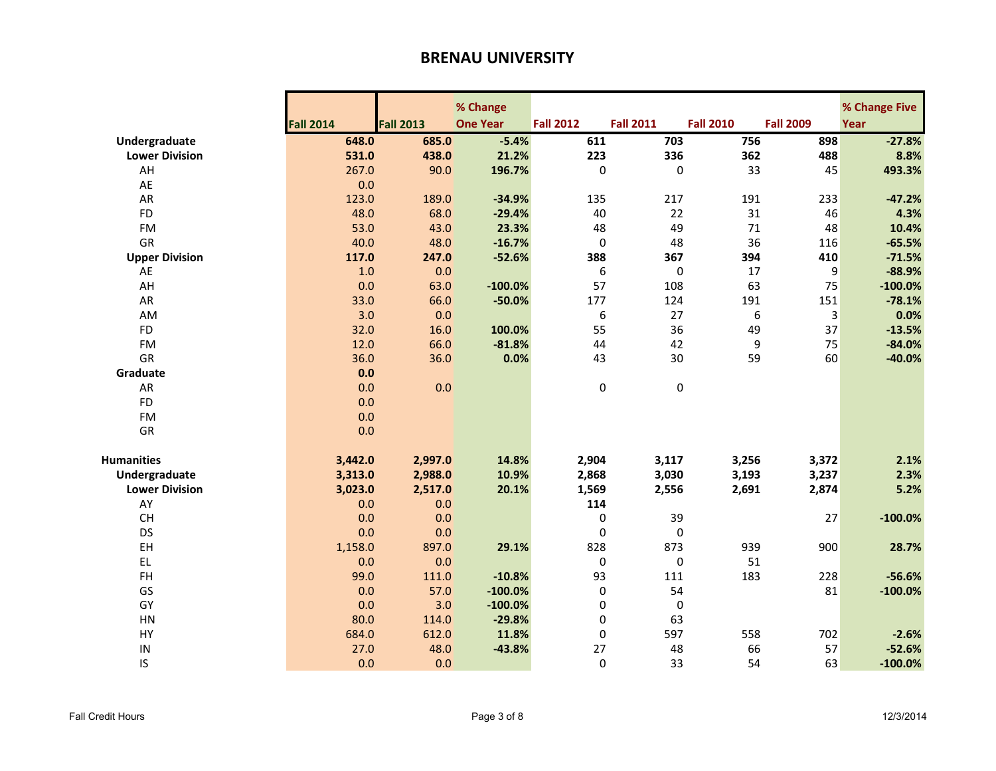|                       |                  |                  | % Change        |                  |                  |                  |                  | % Change Five |
|-----------------------|------------------|------------------|-----------------|------------------|------------------|------------------|------------------|---------------|
|                       | <b>Fall 2014</b> | <b>Fall 2013</b> | <b>One Year</b> | <b>Fall 2012</b> | <b>Fall 2011</b> | <b>Fall 2010</b> | <b>Fall 2009</b> | Year          |
| Undergraduate         | 648.0            | 685.0            | $-5.4%$         | 611              | 703              | 756              | 898              | $-27.8%$      |
| <b>Lower Division</b> | 531.0            | 438.0            | 21.2%           | 223              | 336              | 362              | 488              | 8.8%          |
| AH                    | 267.0            | 90.0             | 196.7%          | 0                | $\mathbf 0$      | 33               | 45               | 493.3%        |
| AE                    | 0.0              |                  |                 |                  |                  |                  |                  |               |
| AR                    | 123.0            | 189.0            | $-34.9%$        | 135              | 217              | 191              | 233              | $-47.2%$      |
| <b>FD</b>             | 48.0             | 68.0             | $-29.4%$        | 40               | 22               | 31               | 46               | 4.3%          |
| <b>FM</b>             | 53.0             | 43.0             | 23.3%           | 48               | 49               | 71               | 48               | 10.4%         |
| <b>GR</b>             | 40.0             | 48.0             | $-16.7%$        | 0                | 48               | 36               | 116              | $-65.5%$      |
| <b>Upper Division</b> | 117.0            | 247.0            | $-52.6%$        | 388              | 367              | 394              | 410              | $-71.5%$      |
| AE                    | 1.0              | 0.0              |                 | 6                | $\pmb{0}$        | 17               | 9                | $-88.9%$      |
| AH                    | 0.0              | 63.0             | $-100.0%$       | 57               | 108              | 63               | 75               | $-100.0%$     |
| AR                    | 33.0             | 66.0             | $-50.0%$        | 177              | 124              | 191              | 151              | $-78.1%$      |
| AM                    | 3.0              | 0.0              |                 | 6                | 27               | 6                | 3                | 0.0%          |
| <b>FD</b>             | 32.0             | 16.0             | 100.0%          | 55               | 36               | 49               | 37               | $-13.5%$      |
| <b>FM</b>             | 12.0             | 66.0             | $-81.8%$        | 44               | 42               | 9                | 75               | $-84.0%$      |
| GR                    | 36.0             | 36.0             | 0.0%            | 43               | 30               | 59               | 60               | $-40.0%$      |
| Graduate              | 0.0              |                  |                 |                  |                  |                  |                  |               |
| AR                    | 0.0              | 0.0              |                 | 0                | $\pmb{0}$        |                  |                  |               |
| <b>FD</b>             | 0.0              |                  |                 |                  |                  |                  |                  |               |
| <b>FM</b>             | 0.0              |                  |                 |                  |                  |                  |                  |               |
| GR                    | 0.0              |                  |                 |                  |                  |                  |                  |               |
|                       |                  |                  |                 |                  |                  |                  |                  |               |
| <b>Humanities</b>     | 3,442.0          | 2,997.0          | 14.8%           | 2,904            | 3,117            | 3,256            | 3,372            | 2.1%          |
| Undergraduate         | 3,313.0          | 2,988.0          | 10.9%           | 2,868            | 3,030            | 3,193            | 3,237            | 2.3%          |
| <b>Lower Division</b> | 3,023.0          | 2,517.0          | 20.1%           | 1,569            | 2,556            | 2,691            | 2,874            | 5.2%          |
| AY                    | 0.0              | 0.0              |                 | 114              |                  |                  |                  |               |
| CH                    | 0.0              | 0.0              |                 | 0                | 39               |                  | 27               | $-100.0%$     |
| DS                    | 0.0              | 0.0              |                 | 0                | 0                |                  |                  |               |
| EH                    | 1,158.0          | 897.0            | 29.1%           | 828              | 873              | 939              | 900              | 28.7%         |
| <b>EL</b>             | 0.0              | 0.0              |                 | $\pmb{0}$        | $\pmb{0}$        | 51               |                  |               |
| FH                    | 99.0             | 111.0            | $-10.8%$        | 93               | 111              | 183              | 228              | $-56.6%$      |
| GS                    | 0.0              | 57.0             | $-100.0%$       | 0                | 54               |                  | 81               | $-100.0%$     |
| GY                    | 0.0              | 3.0              | $-100.0\%$      | 0                | $\mathbf 0$      |                  |                  |               |
| HN                    | 80.0             | 114.0            | $-29.8%$        | 0                | 63               |                  |                  |               |
| HY                    | 684.0            | 612.0            | 11.8%           | 0                | 597              | 558              | 702              | $-2.6%$       |
| IN                    | 27.0             | 48.0             | $-43.8%$        | 27               | 48               | 66               | 57               | $-52.6%$      |
| IS                    | 0.0              | 0.0              |                 | $\Omega$         | 33               | 54               | 63               | $-100.0%$     |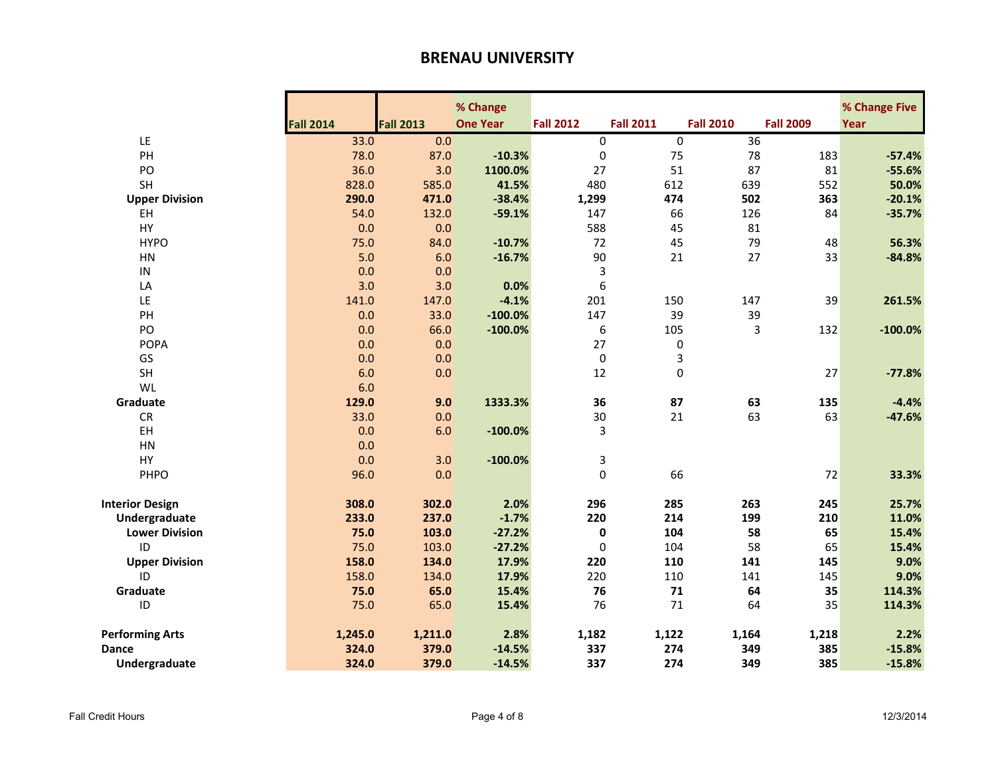|                             |                  |                  | % Change        |                  |                  |                  |                  | % Change Five |
|-----------------------------|------------------|------------------|-----------------|------------------|------------------|------------------|------------------|---------------|
|                             | <b>Fall 2014</b> | <b>Fall 2013</b> | <b>One Year</b> | <b>Fall 2012</b> | <b>Fall 2011</b> | <b>Fall 2010</b> | <b>Fall 2009</b> | Year          |
| LE                          | 33.0             | 0.0              |                 | 0                | $\pmb{0}$        | 36               |                  |               |
| PH                          | 78.0             | 87.0             | $-10.3%$        | $\pmb{0}$        | 75               | 78               | 183              | $-57.4%$      |
| PO                          | 36.0             | 3.0              | 1100.0%         | 27               | 51               | 87               | 81               | $-55.6%$      |
| SH                          | 828.0            | 585.0            | 41.5%           | 480              | 612              | 639              | 552              | 50.0%         |
| <b>Upper Division</b>       | 290.0            | 471.0            | $-38.4%$        | 1,299            | 474              | 502              | 363              | $-20.1%$      |
| EH                          | 54.0             | 132.0            | $-59.1%$        | 147              | 66               | 126              | 84               | $-35.7%$      |
| HY                          | 0.0              | 0.0              |                 | 588              | 45               | 81               |                  |               |
| <b>HYPO</b>                 | 75.0             | 84.0             | $-10.7%$        | 72               | 45               | 79               | 48               | 56.3%         |
| HN                          | 5.0              | 6.0              | $-16.7%$        | 90               | 21               | 27               | 33               | $-84.8%$      |
| IN                          | 0.0              | 0.0              |                 | 3                |                  |                  |                  |               |
| LA                          | 3.0              | 3.0              | 0.0%            | 6                |                  |                  |                  |               |
| LE                          | 141.0            | 147.0            | $-4.1%$         | 201              | 150              | 147              | 39               | 261.5%        |
| PH                          | 0.0              | 33.0             | $-100.0%$       | 147              | 39               | 39               |                  |               |
| PO                          | 0.0              | 66.0             | $-100.0%$       | 6                | 105              | 3                | 132              | $-100.0%$     |
| <b>POPA</b>                 | 0.0              | 0.0              |                 | 27               | 0                |                  |                  |               |
| GS                          | 0.0              | 0.0              |                 | 0                | 3                |                  |                  |               |
| <b>SH</b>                   | 6.0              | 0.0              |                 | 12               | $\mathbf 0$      |                  | 27               | $-77.8%$      |
| WL                          | 6.0              |                  |                 |                  |                  |                  |                  |               |
| Graduate                    | 129.0            | 9.0              | 1333.3%         | 36               | 87               | 63               | 135              | $-4.4%$       |
| <b>CR</b>                   | 33.0             | 0.0              |                 | 30               | 21               | 63               | 63               | $-47.6%$      |
| EH                          | 0.0              | 6.0              | $-100.0%$       | 3                |                  |                  |                  |               |
| HN                          | 0.0              |                  |                 |                  |                  |                  |                  |               |
| HY                          | 0.0              | 3.0              | $-100.0%$       | 3                |                  |                  |                  |               |
| PHPO                        | 96.0             | 0.0              |                 | $\mathbf 0$      | 66               |                  | 72               | 33.3%         |
|                             |                  |                  |                 |                  |                  |                  |                  |               |
| <b>Interior Design</b>      | 308.0            | 302.0            | 2.0%            | 296              | 285              | 263              | 245              | 25.7%         |
| Undergraduate               | 233.0            | 237.0            | $-1.7%$         | 220              | 214              | 199              | 210              | 11.0%         |
| <b>Lower Division</b>       | 75.0             | 103.0            | $-27.2%$        | 0                | 104              | 58               | 65               | 15.4%         |
| ID                          | 75.0             | 103.0            | $-27.2%$        | $\pmb{0}$        | 104              | 58               | 65               | 15.4%         |
| <b>Upper Division</b><br>ID | 158.0            | 134.0            | 17.9%           | 220              | 110              | 141              | 145              | 9.0%          |
|                             | 158.0            | 134.0            | 17.9%           | 220              | 110              | 141              | 145              | 9.0%          |
| Graduate                    | 75.0             | 65.0             | 15.4%           | 76               | 71               | 64               | 35               | 114.3%        |
| ID                          | 75.0             | 65.0             | 15.4%           | 76               | 71               | 64               | 35               | 114.3%        |
| <b>Performing Arts</b>      | 1,245.0          | 1,211.0          | 2.8%            | 1,182            | 1,122            | 1,164            | 1,218            | 2.2%          |
| <b>Dance</b>                | 324.0            | 379.0            | $-14.5%$        | 337              | 274              | 349              | 385              | $-15.8%$      |
| Undergraduate               | 324.0            | 379.0            | $-14.5%$        | 337              | 274              | 349              | 385              | $-15.8%$      |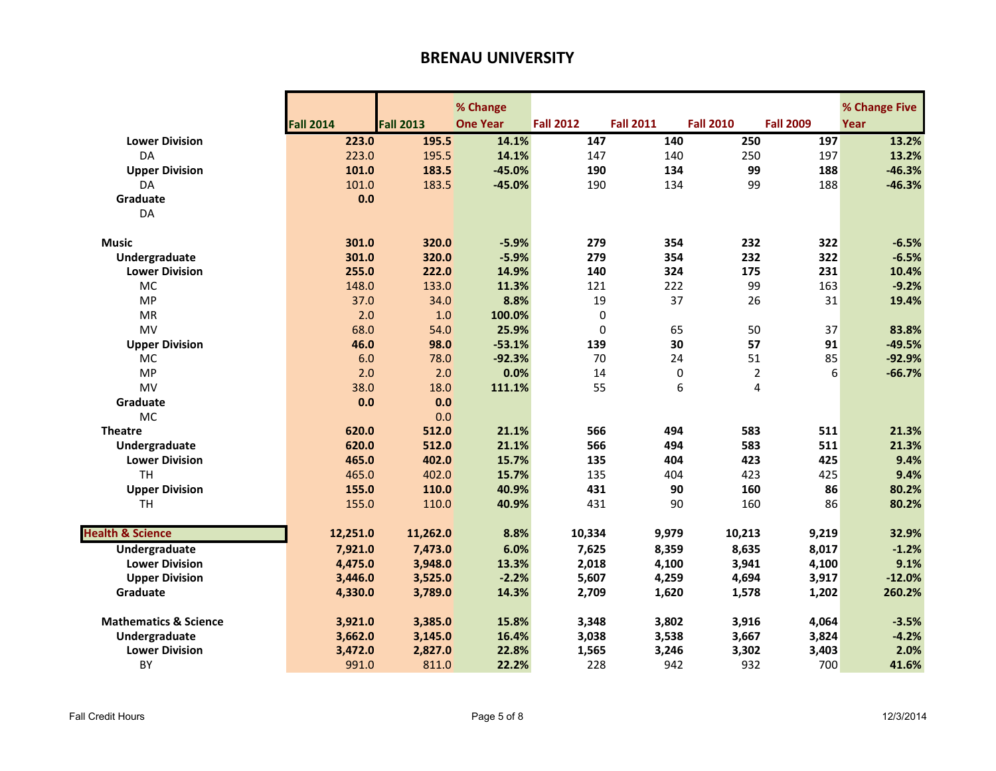|                                  |                  |                  | % Change        |                  |                   |                  |                  | % Change Five |
|----------------------------------|------------------|------------------|-----------------|------------------|-------------------|------------------|------------------|---------------|
|                                  | <b>Fall 2014</b> | <b>Fall 2013</b> | <b>One Year</b> | <b>Fall 2012</b> | <b>Fall 2011</b>  | <b>Fall 2010</b> | <b>Fall 2009</b> | Year          |
| <b>Lower Division</b>            | 223.0            | 195.5            | 14.1%           | 147              | 140               | 250              | 197              | 13.2%         |
| DA                               | 223.0            | 195.5            | 14.1%           | 147              | 140               | 250              | 197              | 13.2%         |
| <b>Upper Division</b>            | 101.0            | 183.5            | $-45.0%$        | 190              | 134               | 99               | 188              | $-46.3%$      |
| DA                               | 101.0            | 183.5            | $-45.0%$        | 190              | 134               | 99               | 188              | $-46.3%$      |
| Graduate                         | 0.0              |                  |                 |                  |                   |                  |                  |               |
| DA                               |                  |                  |                 |                  |                   |                  |                  |               |
|                                  |                  |                  |                 |                  |                   |                  |                  |               |
| <b>Music</b>                     | 301.0            | 320.0            | $-5.9%$         | 279              | 354               | 232              | 322              | $-6.5%$       |
| Undergraduate                    | 301.0            | 320.0            | $-5.9%$         | 279              | 354               | 232              | 322              | $-6.5%$       |
| <b>Lower Division</b>            | 255.0            | 222.0            | 14.9%           | 140              | 324               | 175              | 231              | 10.4%         |
| MC                               | 148.0            | 133.0            | 11.3%           | 121              | 222               | 99               | 163              | $-9.2%$       |
| <b>MP</b>                        | 37.0             | 34.0             | 8.8%            | 19               | 37                | 26               | 31               | 19.4%         |
| <b>MR</b>                        | 2.0              | 1.0              | 100.0%          |                  | 0                 |                  |                  |               |
| MV                               | 68.0             | 54.0             | 25.9%           |                  | $\mathbf 0$<br>65 | 50               | 37               | 83.8%         |
| <b>Upper Division</b>            | 46.0             | 98.0             | $-53.1%$        | 139              | 30                | 57               | 91               | $-49.5%$      |
| MC                               | 6.0              | 78.0             | $-92.3%$        | 70               | 24                | 51               | 85               | $-92.9%$      |
| MP                               | 2.0              | 2.0              | 0.0%            | 14               | $\mathbf 0$       | $\overline{2}$   | 6                | $-66.7%$      |
| MV                               | 38.0             | 18.0             | 111.1%          | 55               | 6                 | 4                |                  |               |
| Graduate                         | 0.0              | 0.0              |                 |                  |                   |                  |                  |               |
| <b>MC</b>                        |                  | 0.0              |                 |                  |                   |                  |                  |               |
| <b>Theatre</b>                   | 620.0            | 512.0            | 21.1%           | 566              | 494               | 583              | 511              | 21.3%         |
| Undergraduate                    | 620.0            | 512.0            | 21.1%           | 566              | 494               | 583              | 511              | 21.3%         |
| <b>Lower Division</b>            | 465.0            | 402.0            | 15.7%           | 135              | 404               | 423              | 425              | 9.4%          |
| <b>TH</b>                        | 465.0            | 402.0            | 15.7%           | 135              | 404               | 423              | 425              | 9.4%          |
| <b>Upper Division</b>            | 155.0            | 110.0            | 40.9%           | 431              | 90                | 160              | 86               | 80.2%         |
| <b>TH</b>                        | 155.0            | 110.0            | 40.9%           | 431              | 90                | 160              | 86               | 80.2%         |
|                                  |                  |                  |                 |                  |                   |                  |                  |               |
| <b>Health &amp; Science</b>      | 12,251.0         | 11,262.0         | 8.8%            | 10,334           | 9,979             | 10,213           | 9,219            | 32.9%         |
| <b>Undergraduate</b>             | 7,921.0          | 7,473.0          | 6.0%            | 7,625            | 8,359             | 8,635            | 8,017            | $-1.2%$       |
| <b>Lower Division</b>            | 4,475.0          | 3,948.0          | 13.3%           | 2,018            | 4,100             | 3,941            | 4,100            | 9.1%          |
| <b>Upper Division</b>            | 3,446.0          | 3,525.0          | $-2.2%$         | 5,607            | 4,259             | 4,694            | 3,917            | $-12.0%$      |
| Graduate                         | 4,330.0          | 3,789.0          | 14.3%           | 2,709            | 1,620             | 1,578            | 1,202            | 260.2%        |
|                                  |                  |                  |                 |                  |                   |                  |                  |               |
| <b>Mathematics &amp; Science</b> | 3,921.0          | 3,385.0          | 15.8%           | 3,348            | 3,802             | 3,916            | 4,064            | $-3.5%$       |
| Undergraduate                    | 3,662.0          | 3,145.0          | 16.4%           | 3,038            | 3,538             | 3,667            | 3,824            | $-4.2%$       |
| <b>Lower Division</b>            | 3,472.0          | 2,827.0          | 22.8%           | 1,565            | 3,246             | 3,302            | 3,403            | 2.0%          |
| BY                               | 991.0            | 811.0            | 22.2%           | 228              | 942               | 932              | 700              | 41.6%         |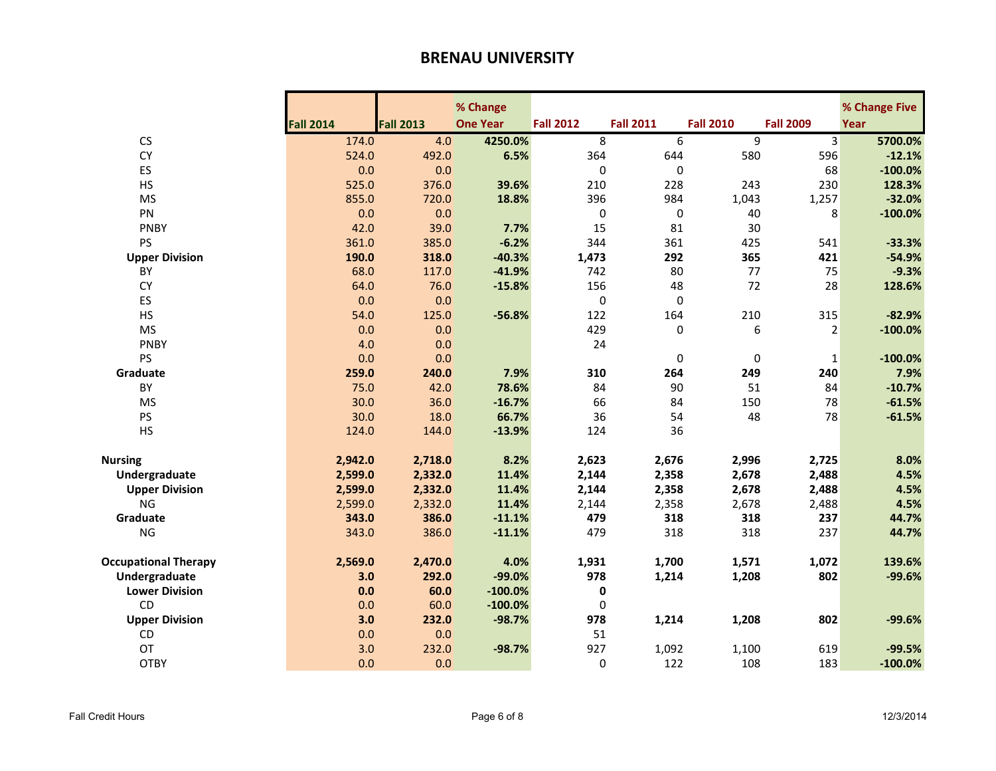|                             |                  |                  | % Change        |                  |                  |                  |                  | % Change Five |
|-----------------------------|------------------|------------------|-----------------|------------------|------------------|------------------|------------------|---------------|
|                             | <b>Fall 2014</b> | <b>Fall 2013</b> | <b>One Year</b> | <b>Fall 2012</b> | <b>Fall 2011</b> | <b>Fall 2010</b> | <b>Fall 2009</b> | Year          |
| CS                          | 174.0            | 4.0              | 4250.0%         | 8                | 6                | 9                | 3                | 5700.0%       |
| <b>CY</b>                   | 524.0            | 492.0            | 6.5%            | 364              | 644              | 580              | 596              | $-12.1%$      |
| ES                          | 0.0              | 0.0              |                 | 0                | $\Omega$         |                  | 68               | $-100.0%$     |
| <b>HS</b>                   | 525.0            | 376.0            | 39.6%           | 210              | 228              | 243              | 230              | 128.3%        |
| <b>MS</b>                   | 855.0            | 720.0            | 18.8%           | 396              | 984              | 1,043            | 1,257            | $-32.0%$      |
| PN                          | 0.0              | 0.0              |                 | $\pmb{0}$        | 0                | 40               | 8                | $-100.0%$     |
| <b>PNBY</b>                 | 42.0             | 39.0             | 7.7%            | 15               | 81               | 30               |                  |               |
| PS                          | 361.0            | 385.0            | $-6.2%$         | 344              | 361              | 425              | 541              | $-33.3%$      |
| <b>Upper Division</b>       | 190.0            | 318.0            | $-40.3%$        | 1,473            | 292              | 365              | 421              | $-54.9%$      |
| BY                          | 68.0             | 117.0            | $-41.9%$        | 742              | 80               | 77               | 75               | $-9.3%$       |
| <b>CY</b>                   | 64.0             | 76.0             | $-15.8%$        | 156              | 48               | 72               | 28               | 128.6%        |
| ES                          | 0.0              | 0.0              |                 | $\pmb{0}$        | 0                |                  |                  |               |
| <b>HS</b>                   | 54.0             | 125.0            | $-56.8%$        | 122              | 164              | 210              | 315              | $-82.9%$      |
| <b>MS</b>                   | 0.0              | 0.0              |                 | 429              | $\pmb{0}$        | 6                | $\overline{2}$   | $-100.0%$     |
| <b>PNBY</b>                 | 4.0              | 0.0              |                 | 24               |                  |                  |                  |               |
| <b>PS</b>                   | 0.0              | 0.0              |                 |                  | 0                | 0                | $\mathbf{1}$     | $-100.0%$     |
| Graduate                    | 259.0            | 240.0            | 7.9%            | 310              | 264              | 249              | 240              | 7.9%          |
| BY                          | 75.0             | 42.0             | 78.6%           | 84               | 90               | 51               | 84               | $-10.7%$      |
| <b>MS</b>                   | 30.0             | 36.0             | $-16.7%$        | 66               | 84               | 150              | 78               | $-61.5%$      |
| PS                          | 30.0             | 18.0             | 66.7%           | 36               | 54               | 48               | 78               | $-61.5%$      |
| HS                          | 124.0            | 144.0            | $-13.9%$        | 124              | 36               |                  |                  |               |
| <b>Nursing</b>              | 2,942.0          | 2,718.0          | 8.2%            | 2,623            | 2,676            | 2,996            | 2,725            | 8.0%          |
| Undergraduate               | 2,599.0          | 2,332.0          | 11.4%           | 2,144            | 2,358            | 2,678            | 2,488            | 4.5%          |
| <b>Upper Division</b>       | 2,599.0          | 2,332.0          | 11.4%           | 2,144            | 2,358            | 2,678            | 2,488            | 4.5%          |
| <b>NG</b>                   | 2,599.0          | 2,332.0          | 11.4%           | 2,144            | 2,358            | 2,678            | 2,488            | 4.5%          |
| Graduate                    | 343.0            | 386.0            | $-11.1%$        | 479              | 318              | 318              | 237              | 44.7%         |
| <b>NG</b>                   | 343.0            | 386.0            | $-11.1%$        | 479              | 318              | 318              | 237              | 44.7%         |
| <b>Occupational Therapy</b> | 2,569.0          | 2,470.0          | 4.0%            | 1,931            | 1,700            | 1,571            | 1,072            | 139.6%        |
| Undergraduate               | 3.0              | 292.0            | $-99.0%$        | 978              | 1,214            | 1,208            | 802              | $-99.6%$      |
| <b>Lower Division</b>       | 0.0              | 60.0             | $-100.0%$       | 0                |                  |                  |                  |               |
| <b>CD</b>                   | 0.0              | 60.0             | $-100.0%$       | $\pmb{0}$        |                  |                  |                  |               |
| <b>Upper Division</b>       | 3.0              | 232.0            | $-98.7%$        | 978              | 1,214            | 1,208            | 802              | $-99.6%$      |
| CD                          | 0.0              | 0.0              |                 | 51               |                  |                  |                  |               |
| OT                          | 3.0              | 232.0            | $-98.7%$        | 927              | 1,092            | 1,100            | 619              | $-99.5%$      |
| <b>OTBY</b>                 | 0.0              | 0.0              |                 | $\Omega$         | 122              | 108              | 183              | $-100.0%$     |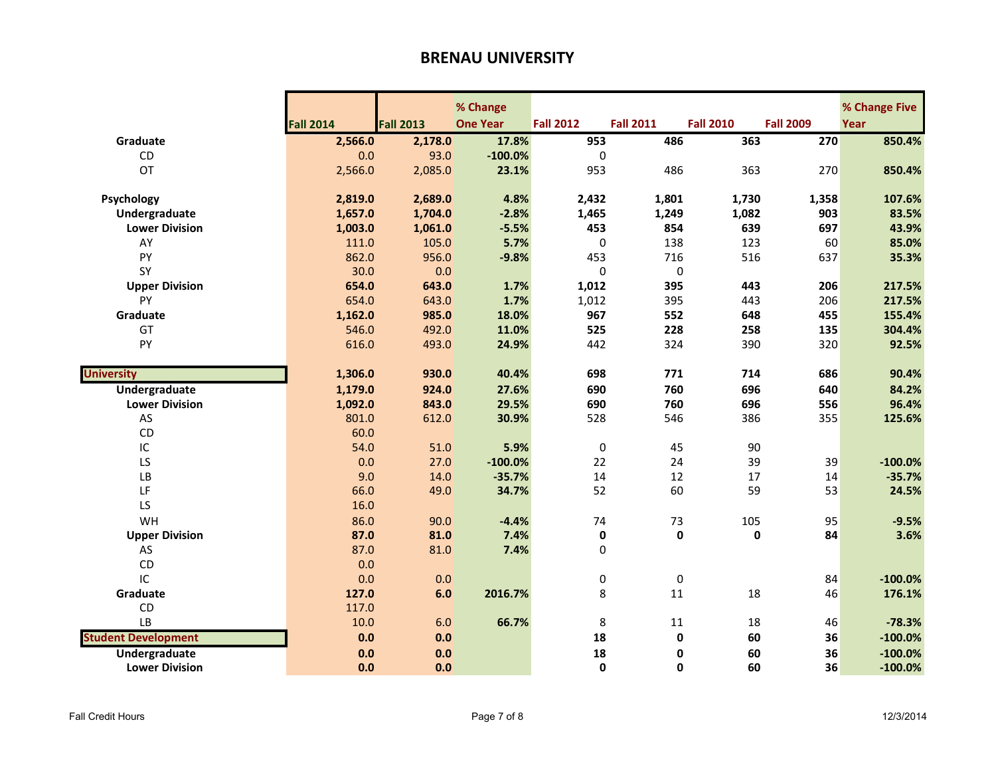|                            |                  |                  | % Change        |                  |                  |                  |                  | % Change Five |
|----------------------------|------------------|------------------|-----------------|------------------|------------------|------------------|------------------|---------------|
|                            | <b>Fall 2014</b> | <b>Fall 2013</b> | <b>One Year</b> | <b>Fall 2012</b> | <b>Fall 2011</b> | <b>Fall 2010</b> | <b>Fall 2009</b> | Year          |
| Graduate                   | 2,566.0          | 2,178.0          | 17.8%           | 953              | 486              | 363              | 270              | 850.4%        |
| CD                         | 0.0              | 93.0             | $-100.0%$       | $\Omega$         |                  |                  |                  |               |
| OT                         | 2,566.0          | 2,085.0          | 23.1%           | 953              | 486              | 363              | 270              | 850.4%        |
|                            |                  |                  |                 |                  |                  |                  |                  |               |
| Psychology                 | 2,819.0          | 2,689.0          | 4.8%            | 2,432            | 1,801            | 1,730            | 1,358            | 107.6%        |
| Undergraduate              | 1,657.0          | 1,704.0          | $-2.8%$         | 1,465            | 1,249            | 1,082            | 903              | 83.5%         |
| <b>Lower Division</b>      | 1,003.0          | 1,061.0          | $-5.5%$         | 453              | 854              | 639              | 697              | 43.9%         |
| AY                         | 111.0            | 105.0            | 5.7%            | $\mathbf 0$      | 138              | 123              | 60               | 85.0%         |
| PY                         | 862.0            | 956.0            | $-9.8%$         | 453              | 716              | 516              | 637              | 35.3%         |
| SY                         | 30.0             | 0.0              |                 | $\mathbf 0$      | $\mathbf 0$      |                  |                  |               |
| <b>Upper Division</b>      | 654.0            | 643.0            | 1.7%            | 1,012            | 395              | 443              | 206              | 217.5%        |
| PY                         | 654.0            | 643.0            | 1.7%            | 1,012            | 395              | 443              | 206              | 217.5%        |
| Graduate                   | 1,162.0          | 985.0            | 18.0%           | 967              | 552              | 648              | 455              | 155.4%        |
| GT                         | 546.0            | 492.0            | 11.0%           | 525              | 228              | 258              | 135              | 304.4%        |
| PY                         | 616.0            | 493.0            | 24.9%           | 442              | 324              | 390              | 320              | 92.5%         |
|                            |                  |                  |                 |                  |                  |                  |                  |               |
| <b>University</b>          | 1,306.0          | 930.0            | 40.4%           | 698              | 771              | 714              | 686              | 90.4%         |
| <b>Undergraduate</b>       | 1,179.0          | 924.0            | 27.6%           | 690              | 760              | 696              | 640              | 84.2%         |
| <b>Lower Division</b>      | 1,092.0          | 843.0            | 29.5%           | 690              | 760              | 696              | 556              | 96.4%         |
| AS                         | 801.0            | 612.0            | 30.9%           | 528              | 546              | 386              | 355              | 125.6%        |
| CD                         | 60.0             |                  |                 |                  |                  |                  |                  |               |
| IC                         | 54.0             | 51.0             | 5.9%            | $\mathbf 0$      | 45               | 90               |                  |               |
| LS                         | 0.0              | 27.0             | $-100.0%$       | 22               | 24               | 39               | 39               | $-100.0%$     |
| LB                         | 9.0              | 14.0             | $-35.7%$        | 14               | 12               | 17               | 14               | $-35.7%$      |
| LF                         | 66.0             | 49.0             | 34.7%           | 52               | 60               | 59               | 53               | 24.5%         |
| LS                         | 16.0             |                  |                 |                  |                  |                  |                  |               |
| WH                         | 86.0             | 90.0             | $-4.4%$         | 74               | 73               | 105              | 95               | $-9.5%$       |
| <b>Upper Division</b>      | 87.0             | 81.0             | 7.4%            | $\pmb{0}$        | $\mathbf 0$      | $\mathbf 0$      | 84               | 3.6%          |
| AS                         | 87.0             | 81.0             | 7.4%            | 0                |                  |                  |                  |               |
| CD                         | 0.0              |                  |                 |                  |                  |                  |                  |               |
| IC                         | 0.0              | 0.0              |                 | 0                | $\mathbf 0$      |                  | 84               | $-100.0%$     |
| Graduate                   | 127.0            | 6.0              | 2016.7%         | 8                | 11               | 18               | 46               | 176.1%        |
| CD                         | 117.0            |                  |                 |                  |                  |                  |                  |               |
| LB                         | 10.0             | 6.0              | 66.7%           | 8                | 11               | 18               | 46               | $-78.3%$      |
| <b>Student Development</b> | 0.0              | 0.0              |                 | 18               | $\mathbf 0$      | 60               | 36               | $-100.0%$     |
| <b>Undergraduate</b>       | 0.0              | 0.0              |                 | 18               | 0                | 60               | 36               | $-100.0%$     |
| <b>Lower Division</b>      | 0.0              | 0.0              |                 | $\mathbf{0}$     | $\mathbf{0}$     | 60               | 36               | $-100.0%$     |